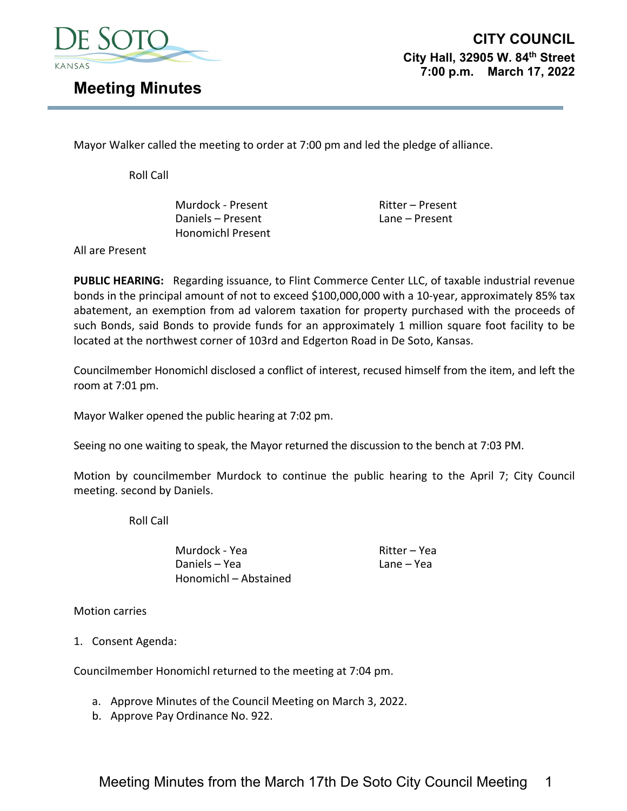

**CITY COUNCIL City Hall, 32905 W. 84th Street 7:00 p.m. March 17, 2022** 

## **Meeting Minutes**

Mayor Walker called the meeting to order at 7:00 pm and led the pledge of alliance.

Roll Call

Murdock - Present Ritter – Present Daniels – Present Lane – Present Honomichl Present

All are Present

**PUBLIC HEARING:** Regarding issuance, to Flint Commerce Center LLC, of taxable industrial revenue bonds in the principal amount of not to exceed \$100,000,000 with a 10‐year, approximately 85% tax abatement, an exemption from ad valorem taxation for property purchased with the proceeds of such Bonds, said Bonds to provide funds for an approximately 1 million square foot facility to be located at the northwest corner of 103rd and Edgerton Road in De Soto, Kansas.

Councilmember Honomichl disclosed a conflict of interest, recused himself from the item, and left the room at 7:01 pm.

Mayor Walker opened the public hearing at 7:02 pm.

Seeing no one waiting to speak, the Mayor returned the discussion to the bench at 7:03 PM.

Motion by councilmember Murdock to continue the public hearing to the April 7; City Council meeting. second by Daniels.

Roll Call

Murdock - Yea **Ritter – Yea Ritter – Yea**<br>Daniels – Yea Ritter – Yea Lane – Yea Daniels – Yea Honomichl – Abstained

Motion carries

1. Consent Agenda:

Councilmember Honomichl returned to the meeting at 7:04 pm.

- a. Approve Minutes of the Council Meeting on March 3, 2022.
- b. Approve Pay Ordinance No. 922.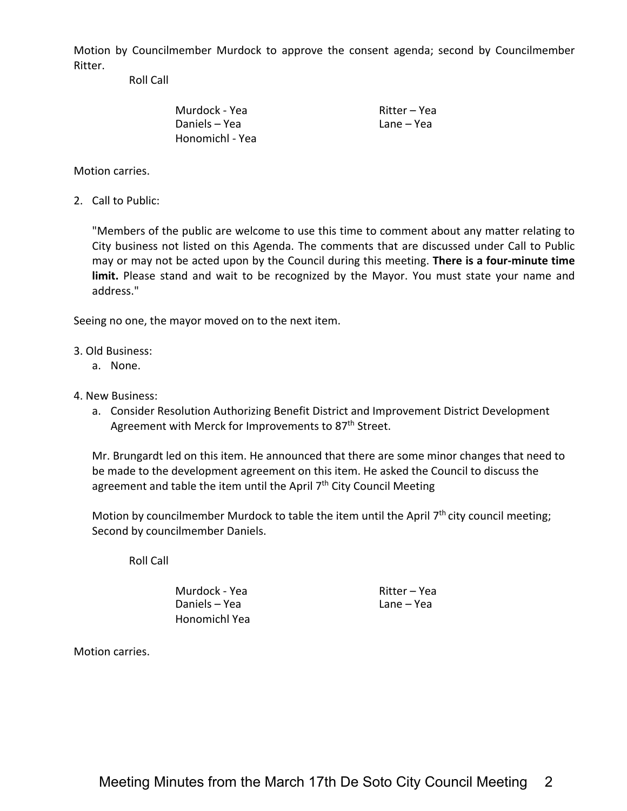Motion by Councilmember Murdock to approve the consent agenda; second by Councilmember Ritter.

Roll Call

Murdock - Yea Ritter – Yea Daniels – Yea Lane – Yea Honomichl ‐ Yea

Motion carries.

2. Call to Public:

"Members of the public are welcome to use this time to comment about any matter relating to City business not listed on this Agenda. The comments that are discussed under Call to Public may or may not be acted upon by the Council during this meeting. **There is a four‐minute time** limit. Please stand and wait to be recognized by the Mayor. You must state your name and address."

Seeing no one, the mayor moved on to the next item.

- 3. Old Business:
	- a. None.
- 4. New Business:
	- a. Consider Resolution Authorizing Benefit District and Improvement District Development Agreement with Merck for Improvements to 87<sup>th</sup> Street.

Mr. Brungardt led on this item. He announced that there are some minor changes that need to be made to the development agreement on this item. He asked the Council to discuss the agreement and table the item until the April  $7<sup>th</sup>$  City Council Meeting

Motion by councilmember Murdock to table the item until the April 7<sup>th</sup> city council meeting; Second by councilmember Daniels.

Roll Call

Murdock - Yea Ritter – Yea Daniels – Yea Lane – Yea Honomichl Yea

Motion carries.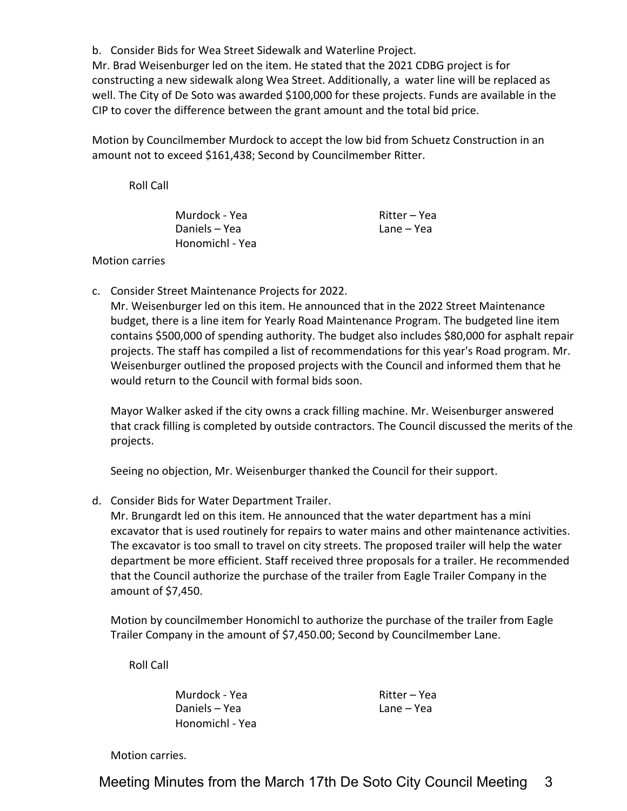b. Consider Bids for Wea Street Sidewalk and Waterline Project.

Mr. Brad Weisenburger led on the item. He stated that the 2021 CDBG project is for constructing a new sidewalk along Wea Street. Additionally, a water line will be replaced as well. The City of De Soto was awarded \$100,000 for these projects. Funds are available in the CIP to cover the difference between the grant amount and the total bid price.

Motion by Councilmember Murdock to accept the low bid from Schuetz Construction in an amount not to exceed \$161,438; Second by Councilmember Ritter.

Roll Call

Murdock - Yea Ritter – Yea Daniels – Yea Lane – Yea Honomichl ‐ Yea

## Motion carries

c. Consider Street Maintenance Projects for 2022.

Mr. Weisenburger led on this item. He announced that in the 2022 Street Maintenance budget, there is a line item for Yearly Road Maintenance Program. The budgeted line item contains \$500,000 of spending authority. The budget also includes \$80,000 for asphalt repair projects. The staff has compiled a list of recommendations for this year's Road program. Mr. Weisenburger outlined the proposed projects with the Council and informed them that he would return to the Council with formal bids soon.

Mayor Walker asked if the city owns a crack filling machine. Mr. Weisenburger answered that crack filling is completed by outside contractors. The Council discussed the merits of the projects.

Seeing no objection, Mr. Weisenburger thanked the Council for their support.

d. Consider Bids for Water Department Trailer.

Mr. Brungardt led on this item. He announced that the water department has a mini excavator that is used routinely for repairs to water mains and other maintenance activities. The excavator is too small to travel on city streets. The proposed trailer will help the water department be more efficient. Staff received three proposals for a trailer. He recommended that the Council authorize the purchase of the trailer from Eagle Trailer Company in the amount of \$7,450.

Motion by councilmember Honomichl to authorize the purchase of the trailer from Eagle Trailer Company in the amount of \$7,450.00; Second by Councilmember Lane.

Roll Call

Murdock - Yea Ritter – Yea Daniels – Yea Lane – Yea Honomichl ‐ Yea

Motion carries.